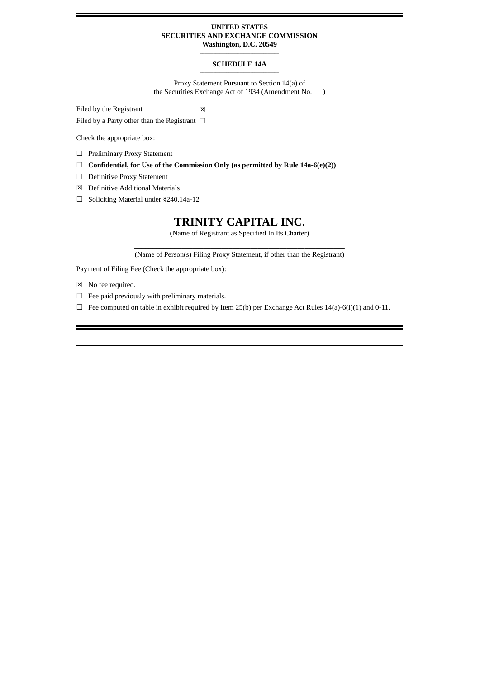## **UNITED STATES SECURITIES AND EXCHANGE COMMISSION**

**Washington, D.C. 20549 \_\_\_\_\_\_\_\_\_\_\_\_\_\_\_\_\_\_\_\_\_\_\_\_\_\_\_\_\_\_\_\_\_\_\_\_**

#### **SCHEDULE 14A \_\_\_\_\_\_\_\_\_\_\_\_\_\_\_\_\_\_\_\_\_\_\_\_\_\_\_\_\_\_\_\_\_\_\_\_**

Proxy Statement Pursuant to Section 14(a) of the Securities Exchange Act of 1934 (Amendment No. )

Filed by the Registrant  $\boxtimes$ 

Filed by a Party other than the Registrant  $\Box$ 

Check the appropriate box:

☐ Preliminary Proxy Statement

☐ **Confidential, for Use of the Commission Only (as permitted by Rule 14a-6(e)(2))**

- ☐ Definitive Proxy Statement
- ☒ Definitive Additional Materials
- ☐ Soliciting Material under §240.14a-12

# **TRINITY CAPITAL INC.**

(Name of Registrant as Specified In Its Charter)

**\_\_\_\_\_\_\_\_\_\_\_\_\_\_\_\_\_\_\_\_\_\_\_\_\_\_\_\_\_\_\_\_\_\_\_\_\_\_\_\_\_\_\_\_\_\_\_\_\_\_\_\_\_\_\_\_\_\_** (Name of Person(s) Filing Proxy Statement, if other than the Registrant)

Payment of Filing Fee (Check the appropriate box):

- ☒ No fee required.
- $\Box$  Fee paid previously with preliminary materials.
- $\Box$  Fee computed on table in exhibit required by Item 25(b) per Exchange Act Rules 14(a)-6(i)(1) and 0-11.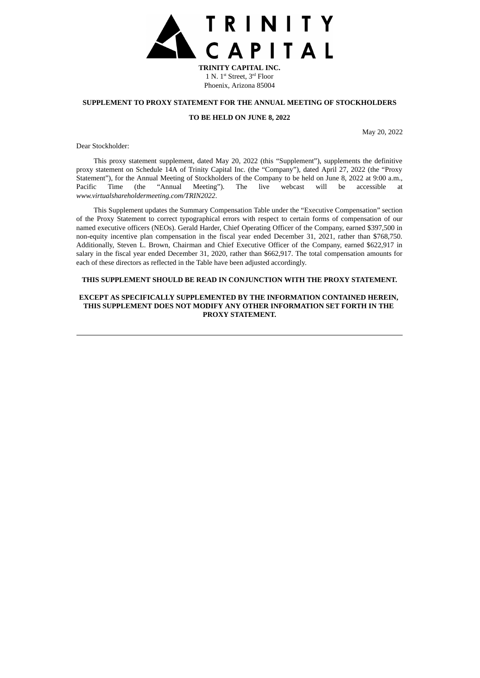

**TRINITY CAPITAL INC.** 1 N. 1<sup>st</sup> Street, 3<sup>rd</sup> Floor Phoenix, Arizona 85004

## **SUPPLEMENT TO PROXY STATEMENT FOR THE ANNUAL MEETING OF STOCKHOLDERS**

### **TO BE HELD ON JUNE 8, 2022**

May 20, 2022

Dear Stockholder:

This proxy statement supplement, dated May 20, 2022 (this "Supplement"), supplements the definitive proxy statement on Schedule 14A of Trinity Capital Inc. (the "Company"), dated April 27, 2022 (the "Proxy Statement"), for the Annual Meeting of Stockholders of the Company to be held on June 8, 2022 at 9:00 a.m., Pacific Time (the "Annual Meeting"). The live webcast will be accessible at *www.virtualshareholdermeeting.com/TRIN2022*.

This Supplement updates the Summary Compensation Table under the "Executive Compensation" section of the Proxy Statement to correct typographical errors with respect to certain forms of compensation of our named executive officers (NEOs). Gerald Harder, Chief Operating Officer of the Company, earned \$397,500 in non-equity incentive plan compensation in the fiscal year ended December 31, 2021, rather than \$768,750. Additionally, Steven L. Brown, Chairman and Chief Executive Officer of the Company, earned \$622,917 in salary in the fiscal year ended December 31, 2020, rather than \$662,917. The total compensation amounts for each of these directors as reflected in the Table have been adjusted accordingly.

## **THIS SUPPLEMENT SHOULD BE READ IN CONJUNCTION WITH THE PROXY STATEMENT.**

## **EXCEPT AS SPECIFICALLY SUPPLEMENTED BY THE INFORMATION CONTAINED HEREIN, THIS SUPPLEMENT DOES NOT MODIFY ANY OTHER INFORMATION SET FORTH IN THE PROXY STATEMENT.**